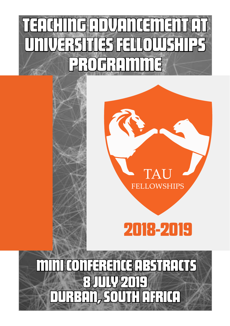## TEACHING ADVANCEMENT AT ERSITIES FELLOWS THE PROFRIGHT

# **FELLOWSHIPS**

 $\Gamma\Delta$ 

## 2018-2019

DURBAN, SOUTH AFRICA  $|\cdot| \cdot | \cdot | \cdot | \cdot | \cdot | \cdot |$ FERENCE ABSTRACTS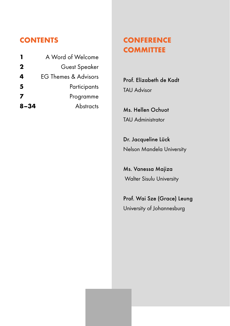#### **CONTENTS**

| Guest Speaker<br>EG Themes & Advisors<br>5<br>Participants<br>7<br>Programme<br>Abstracts |             | A Word of Welcome |
|-------------------------------------------------------------------------------------------|-------------|-------------------|
|                                                                                           | $\mathbf 2$ |                   |
|                                                                                           | 4           |                   |
|                                                                                           |             |                   |
|                                                                                           |             |                   |
|                                                                                           | $8 - 34$    |                   |

#### **CONFERENCE COMMITTEE**

Prof. Elizabeth de Kadt TAU Advisor

Ms. Hellen Ochuot TAU Administrator

Dr. Jacqueline Lück Nelson Mandela University

Ms. Vanessa Majiza Walter Sisulu University

Prof. Wai Sze (Grace) Leung University of Johannesburg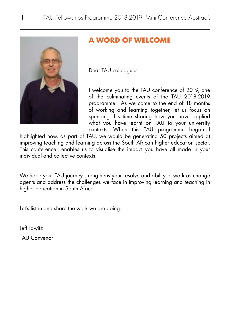<span id="page-2-0"></span>

#### **A WORD OF WELCOME**

Dear TAU colleagues.

I welcome you to the TAU conference of 2019, one of the culminating events of the TAU 2018-2019 programme. As we come to the end of 18 months of working and learning together, let us focus on spending this time sharing how you have applied what you have learnt on TAU to your university contexts. When this TAU programme began I

highlighted how, as part of TAU, we would be generating 50 projects aimed at improving teaching and learning across the South African higher education sector. This conference enables us to visualise the impact you have all made in your individual and collective contexts.

We hope your TAU journey strengthens your resolve and ability to work as change agents and address the challenges we face in improving learning and teaching in higher education in South Africa.

Let's listen and share the work we are doing.

Jeff Jawitz TAU Convenor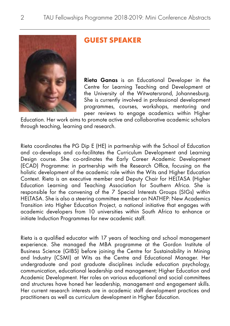<span id="page-3-0"></span>

#### **GUEST SPEAKER**

Rieta Ganas is an Educational Developer in the Centre for Learning Teaching and Development at the University of the Witwatersrand, Johannesburg. She is currently involved in professional development programmes, courses, workshops, mentoring and peer reviews to engage academics within Higher

Education. Her work aims to promote active and collaborative academic scholars through teaching, learning and research.

Rieta coordinates the PG Dip E (HE) in partnership with the School of Education and co-develops and co-facilitates the Curriculum Development and Learning Design course. She co-ordinates the Early Career Academic Development (ECAD) Programme: in partnership with the Research Office, focusing on the holistic development of the academic role within the Wits and Higher Education Context. Rieta is an executive member and Deputy Chair for HELTASA (Higher Education Learning and Teaching Association for Southern Africa. She is responsible for the convening of the 7 Special Interests Groups (SIGs) within HELTASA. She is also a steering committee member on NATHEP: New Academics Transition into Higher Education Project, a national initiative that engages with academic developers from 10 universities within South Africa to enhance or initiate Induction Programmes for new academic staff.

Rieta is a qualified educator with 17 years of teaching and school management experience. She managed the MBA programme at the Gordon Institute of Business Science (GIBS) before joining the Centre for Sustainability in Mining and Industry (CSMI) at Wits as the Centre and Educational Manager. Her undergraduate and post graduate disciplines include education psychology, communication, educational leadership and management; Higher Education and Academic Development. Her roles on various educational and social committees and structures have honed her leadership, management and engagement skills. Her current research interests are in academic staff development practices and practitioners as well as curriculum development in Higher Education.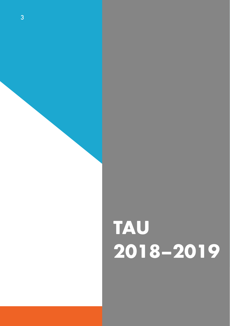# **TAU 2018–2019**

 $3$  TAU Fellowships  $P$  TAU  $F$   $\sim$   $201$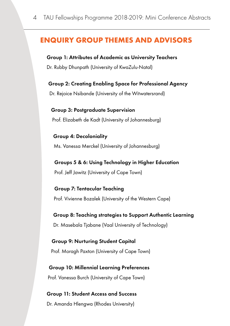#### <span id="page-5-0"></span>**ENQUIRY GROUP THEMES AND ADVISORS**

#### Group 1: Attributes of Academic as University Teachers

Dr. Rubby Dhunpath (University of KwaZulu-Natal)

Group 2: Creating Enabling Space for Professional Agency

Dr. Rejoice Nsibande (University of the Witwatersrand)

Group 3: Postgraduate Supervision Prof. Elizabeth de Kadt (University of Johannesburg)

Group 4: Decoloniality Ms. Vanessa Merckel (University of Johannesburg)

Groups 5 & 6: Using Technology in Higher Education Prof. Jeff Jawitz (University of Cape Town)

Group 7: Tentacular Teaching Prof. Vivienne Bozalek (University of the Western Cape)

Group 8: Teaching strategies to Support Authentic Learning Dr. Masebala Tjabane (Vaal University of Technology)

Group 9: Nurturing Student Capital Prof. Moragh Paxton (University of Cape Town)

Group 10: Millennial Learning Preferences Prof. Vanessa Burch (University of Cape Town)

Group 11: Student Access and Success Dr. Amanda Hlengwa (Rhodes University)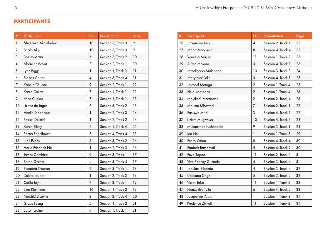#### <span id="page-6-0"></span>**PARTICIPANTS**

| #                | Participant                                       | EG                      | Presentation       | Page |
|------------------|---------------------------------------------------|-------------------------|--------------------|------|
| $\mathbf{1}$     | Mulemwa Akombelwa                                 | 10                      | Session 3, Track 3 | 9    |
| $\boldsymbol{2}$ | Fazila Ally<br>10                                 |                         | Session 3, Track 3 | 9    |
| 3                | <b>Bassey Antia</b><br>Session 3, Track 2<br>6    |                         | 10                 |      |
| 4                | Abdullah Bayat                                    | 7<br>Session 2, Track 1 |                    | 10   |
| 5                | Lynn Biggs                                        | 1<br>Session 1, Track 3 |                    | 11   |
| 6                | $\overline{\mathcal{A}}$<br><b>Francis Carter</b> |                         | Session 3, Track 4 | 11   |
| 7                | Kabelo Chuene                                     | 9<br>Session 2, Track 1 |                    | 12   |
| 8                | Karen Collett<br>7                                |                         | Session 1, Track 1 | 12   |
| 9                | Xena Cupido                                       | 7                       | Session 1, Track 1 | 13   |
| 10               | Lizette de Jager                                  | 6                       | Session 3, Track 2 | 13   |
| 11               | Hanlie Dippenaar                                  | 1                       | Session 2, Track 3 | 14   |
| 12               | Patrick Dzimiri                                   | 11                      | Session 2, Track 2 | 14   |
| 13               | Karen Ellery                                      | $\overline{2}$          | Session 1, Track 4 | 15   |
| 14               | Rentia Engelbrecht                                | 8                       | Session 4, Track 4 | 15   |
| 15               | 5<br>Neil Evans                                   |                         | Session 3, Track 2 | 16   |
| 16               | Hesta Friedrich-Nel<br>1                          |                         | Session 2, Track 3 | 16   |
| 17               | James Gambiza                                     |                         | Session 3, Track 1 | 17   |
| 18               | Berna Gerber                                      | 4                       | Session 3, Track 4 | 17   |
| 19               | Eleonora Goosen                                   | 9                       | Session 3, Track 1 | 18   |
| 20               | Deidre Joubert                                    | 1                       | Session 2, Track 3 | 18   |
| 21               | Corlia Joynt                                      | 9                       | Session 3, Track 1 | 19   |
| 22               | Elna Kleinhans                                    | 10                      | Session 4, Track 3 | 19   |
| 23               | Motshidisi Lekhu                                  | $\overline{2}$          | Session 2, Track 4 | 20   |
| 24               | Grace Leung                                       | 5                       | Session 4, Track 2 | 21   |
| 25               | Susan Levine                                      | 7                       | Session 1, Track 1 | 21   |

| #  | Participant                                            | <b>EG</b>                | Presentation       | Page |
|----|--------------------------------------------------------|--------------------------|--------------------|------|
| 26 | Jacqueline Lück                                        | 4                        | Session 2, Track 4 | 22   |
| 27 | Maria Mabusela                                         | 8                        | Session 4, Track 4 | 22   |
| 28 | 11<br>Vanessa Majiza                                   |                          | Session 1, Track 2 | 23   |
| 29 | Alfred Makura                                          | 3<br>Session 4, Track 1  |                    | 23   |
| 30 | Mmakgabo Malebana<br>10<br>Session 3, Track 3          |                          |                    | 24   |
| 31 | Mary Maluleke                                          | 3                        | Session 4, Track 1 | 25   |
| 32 | $\overline{2}$<br>Jesmael Mataga<br>Session 1, Track 4 |                          | 25                 |      |
| 33 | $\overline{2}$<br>Heidi Matisonn<br>Session 1, Track 4 |                          | 26                 |      |
| 34 | Molekodi Matsipane                                     | $\overline{2}$           | Session 2, Track 4 | 26   |
| 35 | Mdumo Mboweni                                          | 7                        | Session 2, Track 1 | 27   |
| 36 | Faniswa Mfidi                                          | 3                        | Session 4, Track 1 | 27   |
| 37 | Liziwe Mugivhisa                                       | 10                       | Session 4, Track 3 | 28   |
| 38 | Muhammad Nakhooda                                      | 9                        | Session 3, Track 1 | 28   |
| 39 | Ian Nell                                               | 1                        | Session 1, Track 3 | 29   |
| 40 | Penny Orton                                            | 8                        | Session 4, Track 4 | 30   |
| 41 | Pradesh Ramdeyal                                       | 5                        | Session 4, Track 2 | 30   |
| 42 | Eeva Rapoo                                             | 11                       | Session 2, Track 2 | 31   |
| 43 | Ylva Rodney-Gumede                                     | $\pmb{4}$                | Session 3, Track 4 | 31   |
| 44 | Jabulani Sibanda                                       | $\overline{\mathcal{A}}$ | Session 3, Track 4 | 32   |
| 45 | Upasana Singh                                          | 5                        | Session 3, Track 2 | 32   |
| 46 | Victor Teise                                           | 11                       | Session 1, Track 2 | 33   |
| 47 | Nonzukiso Tyilo                                        | 6                        | Session 4, Track 2 | 33   |
| 48 | Jacqueline Yeats                                       | $\mathbf{1}$             | Session 1, Track 3 | 34   |
| 49 | Prudence Zikhali                                       | 11                       | Session 1, Track 2 | 34   |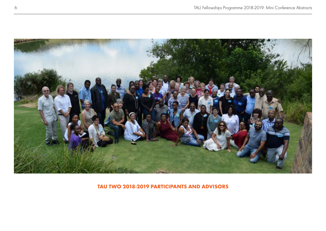

**TAU TWO 2018-2019 PARTICIPANTS AND ADVISORS**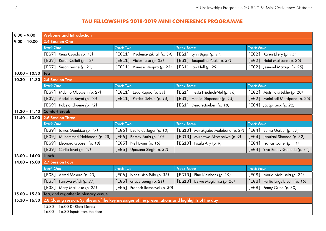#### **TAU FELLOWSHIPS 2018-2019 MINI CONFERENCE PROGRAMME**

<span id="page-8-0"></span>

| $8.30 - 9.00$         | <b>Welcome and Introduction</b>                                                                                 |                                                |                                                             |                                                   |  |  |  |  |
|-----------------------|-----------------------------------------------------------------------------------------------------------------|------------------------------------------------|-------------------------------------------------------------|---------------------------------------------------|--|--|--|--|
| $9.00 - 10.00$        | 2.4 Session One                                                                                                 |                                                |                                                             |                                                   |  |  |  |  |
|                       | <b>Track One</b>                                                                                                | <b>Track Two</b>                               | <b>Track Three</b>                                          | <b>Track Four</b>                                 |  |  |  |  |
|                       | [EG7] Xena Cupido (p. 13)                                                                                       | [EG11] Prudence Zikhali (p. 34)                | [EG1] Lynn Biggs (p. 11)                                    | [EG2]<br>Karen Ellery (p. 15)                     |  |  |  |  |
|                       | [EG7]<br>Karen Collett (p. 12)                                                                                  | [EG11] Victor Teise (p. 33)                    | [EG1] Jacqueline Yeats (p. 34)                              | [EG2]<br>Heidi Matisonn (p. 26)                   |  |  |  |  |
|                       | $FEG7$ ]<br>Susan Levine (p. 21)                                                                                | $\sqrt{\text{EG11}}$<br>Vanessa Majiza (p. 23) | [EG1]<br>Ian Nell (p. 29)                                   | $FEG2$ ]<br>Jesmael Mataga (p. 25)                |  |  |  |  |
| $10.00 - 10.30$ Tea   |                                                                                                                 |                                                |                                                             |                                                   |  |  |  |  |
|                       | 10.30 - 11.30 2.5 Session Two                                                                                   |                                                |                                                             |                                                   |  |  |  |  |
|                       | <b>Track One</b>                                                                                                | <b>Track Two</b>                               | <b>Track Three</b>                                          | <b>Track Four</b>                                 |  |  |  |  |
|                       | [EG7] Mdumo Mboweni (p. 27)                                                                                     | $[EG11]$ Eeva Rapoo (p. 31)                    | $\lceil \textsf{EG1} \rceil$<br>Hesta Friedrich-Nel (p. 16) | $FEG2$ ]<br>Motshidisi Lekhu (p. 20)              |  |  |  |  |
|                       | Abdullah Bayat (p. 10)<br>[EG7]                                                                                 | [EG11]<br>Patrick Dzimiri (p. 14)              | [EG1]<br>Hanlie Dippenaar (p. 14)                           | [EG2]<br>Molekodi Matsipane (p. 26)               |  |  |  |  |
|                       | [EG9] Kabelo Chuene (p. 12)                                                                                     |                                                | FEG1<br>Deirdre Joubert (p. 18)                             | [EG4]<br>Jacqui Lück (p. 22)                      |  |  |  |  |
| $11.30 - 11.40$       | <b>Comfort Break</b>                                                                                            |                                                |                                                             |                                                   |  |  |  |  |
| $11.40 - 13.00$       | 2.6 Session Three                                                                                               |                                                |                                                             |                                                   |  |  |  |  |
|                       | <b>Track One</b>                                                                                                | <b>Track Two</b>                               | <b>Track Three</b>                                          | <b>Track Four</b>                                 |  |  |  |  |
|                       | [EG9] James Gambiza (p. 17)                                                                                     | [EG6] Lizette de Jager (p. 13)                 | [EG10]<br>Mmakgabo Malebana (p. 24)                         | [EG4]<br>Berna Gerber (p. 17)                     |  |  |  |  |
|                       | Muhammad Nakhooda (p. 28)<br>FEG91                                                                              | [EG6] Bassey Antia (p. 10)                     | [EG10]<br>Mulemwa Akombelwa (p. 9)                          | $\lceil$ EG4 $\rceil$<br>Jabulani Sibanda (p. 32) |  |  |  |  |
|                       | [EG9]<br>Eleonora Goosen (p. 18)                                                                                | [EG5] Neil Evans (p. 16)                       | [EG10]<br>Fazila Ally (p. 9)                                | [EG4]<br>Francis Carter (p. 11)                   |  |  |  |  |
|                       | FEG91<br>Corlia Joynt (p. 19)                                                                                   | [EG5]<br>Upasana Singh (p. 32)                 |                                                             | [EG4]<br>Ylva Rodny-Gumede (p. 31)                |  |  |  |  |
| $13.00 - 14.00$ Lunch |                                                                                                                 |                                                |                                                             |                                                   |  |  |  |  |
|                       | 14.00 - 15.00 2.7 Session Four                                                                                  |                                                |                                                             |                                                   |  |  |  |  |
|                       | <b>Track One</b>                                                                                                | <b>Track Two</b>                               | <b>Track Three</b>                                          | <b>Track Four</b>                                 |  |  |  |  |
|                       | [EG3] Alfred Makura (p. 23)                                                                                     | [EG6] Nonzukiso Tyilo (p. 33)                  | $\lceil \textsf{EG10} \rceil$<br>Elna Kleinhans (p. 19)     | $FEG8$ ]<br>Maria Mabusela (p. 22)                |  |  |  |  |
|                       | Faniswa Mfidi (p. 27)<br>[EG3]                                                                                  | [EG5] Grace Leung (p. 21)                      | [EG10] Liziwe Mugivhisa (p. 28)                             | [EG8]<br>Rentia Engelbrecht (p. 15)               |  |  |  |  |
|                       | [EG3]<br>Mary Maluleke (p. 25)                                                                                  | [EG5] Pradesh Ramdeyal (p. 30)                 |                                                             | [EG8]<br>Penny Orton (p. 30)                      |  |  |  |  |
|                       | 15.00 - 15.30 Tea, and regather in plenary venue                                                                |                                                |                                                             |                                                   |  |  |  |  |
|                       | 15.30 - 16.30 2.8 Closing session: Synthesis of the key messages of the presentations and highlights of the day |                                                |                                                             |                                                   |  |  |  |  |
|                       | 15.30 - 16.00 Dr Rieta Ganas                                                                                    |                                                |                                                             |                                                   |  |  |  |  |
|                       | 16.00 - 16.30 Inputs from the floor                                                                             |                                                |                                                             |                                                   |  |  |  |  |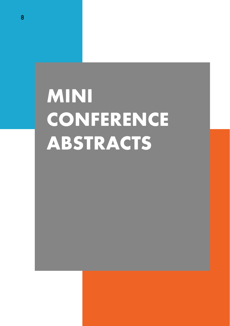# <span id="page-9-0"></span>**MINI CONFERENCE ABSTRACTS**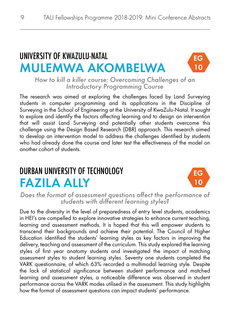## UNIVERSITY OF KWAZULU-NATAL MULEMWA AKOMBELWA



*How to kill a killer course: Overcoming Challenges of an Introductory Programming Course*

The research was aimed at exploring the challenges faced by Land Surveying students in computer programming and its applications in the Discipline of Surveying in the School of Engineering at the University of KwaZulu-Natal. It sought to explore and identify the factors affecting learning and to design an intervention that will assist Land Surveying and potentially other students overcome this challenge using the Design Based Research (DBR) approach. This research aimed to develop an intervention model to address the challenges identified by students who had already done the course and later test the effectiveness of the model on another cohort of students.

#### DURBAN UNIVERSITY OF TECHNOLOGY FAZILA ALLY



*Does the format of assessment questions affect the performance of students with different learning styles?*

Due to the diversity in the level of preparedness of entry level students, academics in HEI's are compelled to explore innovative strategies to enhance current teaching, learning and assessment methods. It is hoped that this will empower students to transcend their backgrounds and achieve their potential. The Council of Higher Education identified the students' learning styles as key factors in improving the delivery, teaching and assessment of the curriculum. This study explored the learning styles of first year anatomy students and investigated the impact of matching assessment styles to student learning styles. Seventy one students completed the VARK questionnaire, of which 63% recorded a multimodal learning style. Despite the lack of statistical significance between student performance and matched learning and assessment styles, a noticeable difference was observed in student performance across the VARK modes utilised in the assessment. This study highlights how the format of assessment questions can impact students' performance.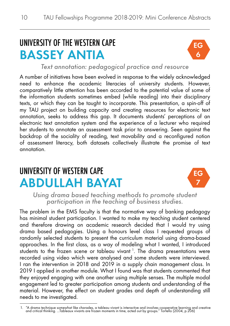## UNIVERSITY OF THE WESTERN CAPE BASSEY ANTIA



*Text annotation: pedagogical practice and resource*

A number of initiatives have been evolved in response to the widely acknowledged need to enhance the academic literacies of university students. However, comparatively little attention has been accorded to the potential value of some of the information students sometimes embed (while reading) into their disciplinary texts, or which they can be taught to incorporate. This presentation, a spin-off of my TAU project on building capacity and creating resources for electronic text annotation, seeks to address this gap. It documents students' perceptions of an electronic text annotation system and the experience of a lecturer who required her students to annotate an assessment task prior to answering. Seen against the backdrop of the sociality of reading, text movability and a reconfigured notion of assessment literacy, both datasets collectively illustrate the promise of text annotation.

## UNIVERSITY OF WESTERN CAPE ABDULLAH BAYAT



*Using drama based teaching methods to promote student participation in the teaching of business studies.*

The problem in the EMS faculty is that the normative way of banking pedagogy has minimal student participation. I wanted to make my teaching student centered and therefore drawing on academic research decided that I would try using drama based pedagogies. Using a honours level class I requested groups of randomly selected students to present the curriculum material using drama-based approaches. In the first class, as a way of modeling what I wanted, I introduced students to the frozen scene or tableau vivant<sup>1</sup>. The drama presentations were recorded using video which were analysed and some students were interviewed. I ran the intervention in 2018 and 2019 in a supply chain management class. In 2019 I applied in another module. What I found was that students commented that they enjoyed engaging with one another using multiple senses. The multiple modal engagement led to greater participation among students and understanding of the material. However, the effect on student grades and depth of understanding still needs to me investigated.

<sup>1. &</sup>quot;A drama technique somewhat like charades, a tableau vivant is interactive and involves cooperative learning and creative<br>1900, and critical thinking. ...Tableaux vivants are frozen moments in time, acted out by groups.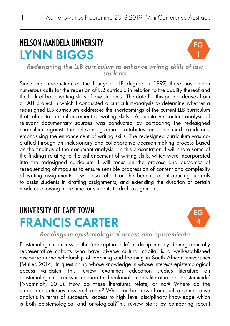## NELSON MANDELA UNIVERSITY LYNN BIGGS



*Redesigning the LLB curriculum to enhance writing skills of law students*

Since the introduction of the four-year LLB degree in 1997, there have been numerous calls for the redesign of LLB curricula in relation to the quality thereof and the lack of basic writing skills of law students. The data for this project derives from a TAU project in which I conducted a curriculum-analysis to determine whether a redesigned LLB curriculum addresses the shortcomings of the current LLB curriculum that relate to the enhancement of writing skills. A qualitative content analysis of relevant documentary sources was conducted by comparing the redesigned curriculum against the relevant graduate attributes and specified conditions, emphasising the enhancement of writing skills. The redesigned curriculum was cocrafted through an inclusionary and collaborative decision-making process based on the findings of the document analysis. In this presentation, I will share some of the findings relating to the enhancement of writing skills, which were incorporated into the redesigned curriculum. I will focus on the process and outcomes of resequencing of modules to ensure sensible progression of content and complexity of writing assignments. I will also reflect on the benefits of introducing tutorials to assist students in drafting assignments, and extending the duration of certain modules allowing more time for students to draft assignments.

#### UNIVERSITY OF CAPE TOWN FRANCIS CARTER



*Readings in epistemological access and epistemicide*

Epistemological access to the 'conceptual pile' of disciplines by demographically representative cohorts who have diverse cultural capital is a well-established discourse in the scholarship of teaching and learning in South African universities (Muller, 2014). In questioning whose knowledge in whose interests epistemological access validates, this review examines education studies literature on epistemological access in relation to decolonial studies literature on 'epistemicide' (Nyamnjoh, 2012). How do these literatures relate, or not? Where do the embedded critiques miss each other? What can be drawn from such a comparative analysis in terms of successful access to high level disciplinary knowledge which is both epistemological and ontological?This review starts by comparing recent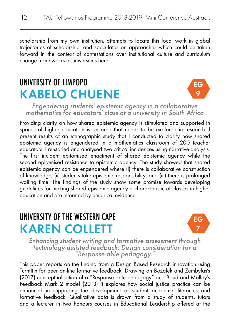scholarship from my own institution, attempts to locate this local work in global trajectories of scholarship, and speculates on approaches which could be taken forward in the context of contestations over institutional culture and curriculum change frameworks at universities here.

#### UNIVERSITY OF LIMPOPO KABELO CHUENE



*Engendering students' epistemic agency in a collaborative mathematics for educators' class at a university in South Africa*

Providing clarity on how shared epistemic agency is stimulated and supported in spaces of higher education is an area that needs to be explored in research. I present results of an ethnographic study that I conducted to clarify how shared epistemic agency is engendered in a mathematics classroom of 200 teacher educators. I re-storied and analysed two critical incidences using narrative analysis. The first incident epitomised enactment of shared epistemic agency while the second epitomised resistance to epistemic agency. The study showed that shared epistemic agency can be engendered where (i) there is collaborative construction of knowledge; (ii) students take epistemic responsibility; and (iii) there is prolonged waiting time. The findings of the study show some promise towards developing guidelines for making shared epistemic agency a characteristic of classes in higher education and are informed by empirical evidence.

#### UNIVERSITY OF THE WESTERN CAPE KAREN COLLETT



*Enhancing student writing and formative assessment through technology-assisted feedback: Design consideration for a "Response-able pedagogy."*

This paper reports on the finding from a Design Based Research innovation using TurntItin for peer on-line formative feedback. Drawing on Bozalek and Zembylas's (2017) conceptualisation of a "Response-able pedagogy" and Boud and Molloy's Feedback Mark 2 model (2013) it explores how social justice practice can be enhanced in supporting the development of student academic literacies and formative feedback. Qualitative data is drawn from a study of students, tutors and a lecturer in two honours courses in Educational Leadership offered at the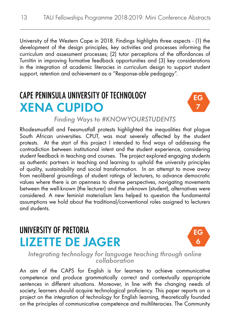University of the Western Cape in 2018. Findings highlights three aspects - (1) the development of the design principles, key activities and processes informing the curriculum and assessment processes; (2) tutor perceptions of the affordances of TurnItin in improving formative feedback opportunities and (3) key considerations in the integration of academic literacies in curriculum design to support student support, retention and achievement as a "Response-able pedagogy".

### CAPE PENINSULA UNIVERSITY OF TECHNOLOGY XENA CUPIDO



*Finding Ways to #KNOWYOURSTUDENTS*

Rhodesmustfall and Feesmustfall protests highlighted the inequalities that plague South African universities. CPUT, was most severely affected by the student protests. At the start of this project I intended to find ways of addressing the contradiction between institutional intent and the student experience, considering student feedback in teaching and courses. The project explored engaging students as authentic partners in teaching and learning to uphold the university principles of quality, sustainability and social transformation. In an attempt to move away from neoliberal groundings of student ratings of lecturers, to advance democratic values where there is an openness to diverse perspectives, navigating movements between the well-known (the lecturer) and the unknown (student), alternatives were considered. A new feminist materialism lens helped to question the fundamental assumptions we hold about the traditional/conventional roles assigned to lecturers and students.

#### UNIVERSITY OF PRETORIA LIZETTE DE JAGER



*Integrating technology for language teaching through online collaboration*

An aim of the CAPS for English is for learners to achieve communicative competence and produce grammatically correct and contextually appropriate sentences in different situations. Moreover, in line with the changing needs of society, learners should acquire technological proficiency. This paper reports on a project on the integration of technology for English learning, theoretically founded on the principles of communicative competence and multiliteracies. The Community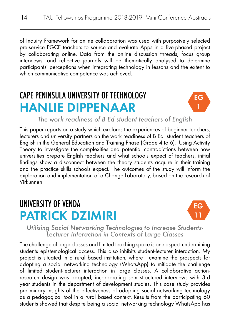of Inquiry Framework for online collaboration was used with purposively selected pre-service PGCE teachers to source and evaluate Apps in a five-phased project by collaborating online. Data from the online discussion threads, focus group interviews, and reflective journals will be thematically analysed to determine participants' perceptions when integrating technology in lessons and the extent to which communicative competence was achieved.

## CAPE PENINSULA UNIVERSITY OF TECHNOLOGY HANLIE DIPPENAAR



*The work readiness of B Ed student teachers of English*

This paper reports on a study which explores the experiences of beginner teachers, lecturers and university partners on the work readiness of B Ed student teachers of English in the General Education and Training Phase (Grade 4 to 6). Using Activity Theory to investigate the complexities and potential contradictions between how universities prepare English teachers and what schools expect of teachers, initial findings show a disconnect between the theory students acquire in their training and the practice skills schools expect. The outcomes of the study will inform the exploration and implementation of a Change Laboratory, based on the research of Virkunnen.

#### UNIVERSITY OF VENDA PATRICK DZIMIRI



*Utilising Social Networking Technologies to Increase Students- Lecturer Interaction in Contexts of Large Classes*

The challenge of large classes and limited teaching space is one aspect undermining students epistemological access. This also inhibits student-lecturer interaction. My project is situated in a rural based institution, where I examine the prospects for adopting a social networking technology (WhatsApp) to mitigate the challenge of limited student-lecturer interaction in large classes. A collaborative actionresearch design was adopted, incorporating semi-structured interviews with 3rd year students in the department of development studies. This case study provides preliminary insights of the effectiveness of adopting social networking technology as a pedagogical tool in a rural based context. Results from the participating 60 students showed that despite being a social networking technology WhatsApp has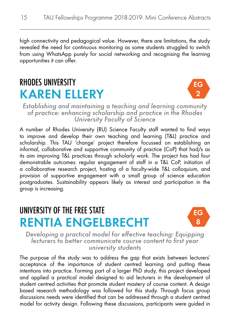high connectivity and pedagogical value. However, there are limitations, the study revealed the need for continuous monitoring as some students struggled to switch from using WhatsApp purely for social networking and recognising the learning opportunities it can offer.

#### RHODES UNIVERSITY KAREN ELLERY



*Establishing and maintaining a teaching and learning community of practice: enhancing scholarship and practice in the Rhodes University Faculty of Science*

A number of Rhodes University (RU) Science Faculty staff wanted to find ways to improve and develop their own teaching and learning (T&L) practice and scholarship. This TAU 'change' project therefore focussed on establishing an informal, collaborative and supportive community of practice (CoP) that had/s as its aim improving T&L practices through scholarly work. The project has had four demonstrable outcomes: regular engagement of staff in a T&L CoP, initiation of a collaborative research project, hosting of a faculty-wide T&L colloquium, and provision of supportive engagement with a small group of science education postgraduates. Sustainability appears likely as interest and participation in the group is increasing.

#### UNIVERSITY OF THE FREE STATE RENTIA ENGELBRECHT



*Developing a practical model for effective teaching: Equipping lecturers to better communicate course content to first year university students*

The purpose of the study was to address the gap that exists between lecturers' acceptance of the importance of student centred learning and putting these intentions into practice. Forming part of a larger PhD study, this project developed and applied a practical model designed to aid lecturers in the development of student centred activities that promote student mastery of course content. A design based research methodology was followed for this study. Through focus group discussions needs were identified that can be addressed through a student centred model for activity design. Following these discussions, participants were guided in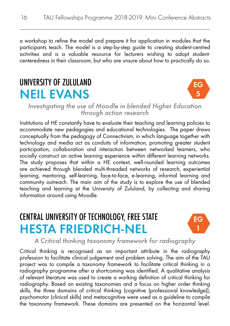a workshop to refine the model and prepare it for application in modules that the participants teach. The model is a step-by-step guide to creating student-centred activities and is a valuable resource for lecturers wishing to adopt studentcenteredness in their classroom, but who are unsure about how to practically do so.

#### UNIVERSITY OF ZULULAND NEIL EVANS



*Investigating the use of Moodle in blended Higher Education through action research*

Institutions of HE constantly have to evaluate their teaching and learning policies to accommodate new pedagogies and educational technologies. The paper draws conceptually from the pedagogy of Connectivism, in which language together with technology and media act as conduits of information, promoting greater student participation, collaboration and interaction between networked learners, who socially construct an active learning experience within different learning networks. The study proposes that within a HE context, well-rounded learning outcomes are achieved through blended multi-threaded networks of research, experiential learning, mentoring, self-learning, face-to-face, e-learning, informal learning and community outreach. The main aim of the study is to explore the use of blended teaching and learning at the University of Zululand, by collecting and sharing information around using Moodle.

#### CENTRAL UNIVERSITY OF TECHNOLOGY, FREE STATE HESTA FRIEDRICH-NEL



*A Critical thinking taxonomy framework for radiography*

Critical thinking is recognised as an important attribute in the radiography profession to facilitate clinical judgement and problem solving. The aim of the TAU project was to compile a taxonomy framework to facilitate critical thinking in a radiography programme after a shortcoming was identified. A qualitative analysis of relevant literature was used to create a working definition of critical thinking for radiography. Based on existing taxonomies and a focus on higher order thinking skills, the three domains of critical thinking (cognitive (professional knowledge)), psychomotor (clinical skills) and metacognitive were used as a guideline to compile the taxonomy framework. These domains are presented on the horizontal level.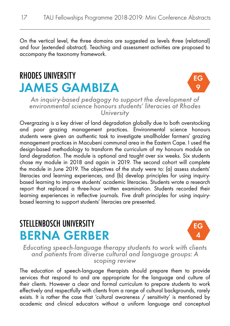On the vertical level, the three domains are suggested as levels three (relational) and four (extended abstract). Teaching and assessment activities are proposed to accompany the taxonomy framework.

### RHODES UNIVERSITY JAMES GAMBIZA



*An inquiry-based pedagogy to support the development of environmental science honours students' literacies at Rhodes University*

Overgrazing is a key driver of land degradation globally due to both overstocking and poor grazing management practices. Environmental science honours students were given an authentic task to investigate smallholder farmers' grazing management practices in Macubeni communal area in the Eastern Cape. I used the design-based methodology to transform the curriculum of my honours module on land degradation. The module is optional and taught over six weeks. Six students chose my module in 2018 and again in 2019. The second cohort will complete the module in June 2019. The objectives of the study were to: (a) assess students' literacies and learning experiences, and (b) develop principles for using inquirybased learning to improve students' academic literacies. Students wrote a research report that replaced a three-hour written examination. Students recorded their learning experiences in reflective journals. Five draft principles for using inquirybased learning to support students' literacies are presented.

#### STELLENBOSCH UNIVERSITY BERNA GERBER



*Educating speech-language therapy students to work with clients and patients from diverse cultural and language groups: A scoping review* 

The education of speech-language therapists should prepare them to provide services that respond to and are appropriate for the language and culture of their clients. However a clear and formal curriculum to prepare students to work effectively and respectfully with clients from a range of cultural backgrounds, rarely exists. It is rather the case that 'cultural awareness / sensitivity' is mentioned by academic and clinical educators without a uniform language and conceptual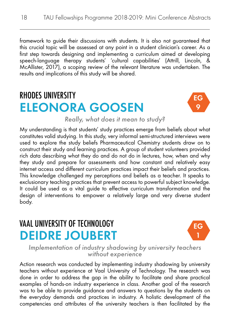framework to guide their discussions with students. It is also not guaranteed that this crucial topic will be assessed at any point in a student clinician's career. As a first step towards designing and implementing a curriculum aimed at developing speech-language therapy students' 'cultural capabilities' (Attrill, Lincoln, & McAllister, 2017), a scoping review of the relevant literature was undertaken. The results and implications of this study will be shared.

#### RHODES UNIVERSITY ELEONORA GOOSEN



*Really, what does it mean to study?*

My understanding is that students' study practices emerge from beliefs about what constitutes valid studying. In this study, very informal semi-structured interviews were used to explore the study beliefs Pharmaceutical Chemistry students draw on to construct their study and learning practices. A group of student volunteers provided rich data describing what they do and do not do in lectures, how, when and why they study and prepare for assessments and how constant and relatively easy internet access and different curriculum practices impact their beliefs and practices. This knowledge challenged my perceptions and beliefs as a teacher. It speaks to exclusionary teaching practices that prevent access to powerful subject knowledge. It could be used as a vital guide to effective curriculum transformation and the design of interventions to empower a relatively large and very diverse student body.

#### VAAL UNIVERSITY OF TECHNOLOGY DEIDRE JOUBERT



*Implementation of industry shadowing by university teachers without experience*

Action research was conducted by implementing industry shadowing by university teachers without experience at Vaal University of Technology. The research was done in order to address the gap in the ability to facilitate and share practical examples of hands-on industry experience in class. Another goal of the research was to be able to provide guidance and answers to questions by the students on the everyday demands and practices in industry. A holistic development of the competencies and attributes of the university teachers is then facilitated by the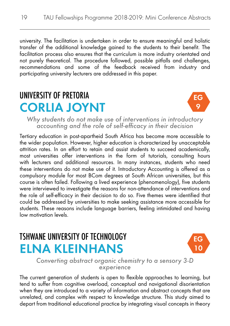university. The facilitation is undertaken in order to ensure meaningful and holistic transfer of the additional knowledge gained to the students to their benefit. The facilitation process also ensures that the curriculum is more industry orientated and not purely theoretical. The procedure followed, possible pitfalls and challenges, recommendations and some of the feedback received from industry and participating university lecturers are addressed in this paper.

#### UNIVERSITY OF PRETORIA CORLIA JOYNT



*Why students do not make use of interventions in introductory accounting and the role of self-efficacy in their decision*

Tertiary education in post-apartheid South Africa has become more accessible to the wider population. However, higher education is characterized by unacceptable attrition rates. In an effort to retain and assist students to succeed academically, most universities offer interventions in the form of tutorials, consulting hours with lecturers and additional resources. In many instances, students who need these interventions do not make use of it. Introductory Accounting is offered as a compulsory module for most BCom degrees at South African universities, but this course is often failed. Following a lived experience (phenomenology), five students were interviewed to investigate the reasons for non-attendance of interventions and the role of self-efficacy in their decision to do so. Five themes were identified that could be addressed by universities to make seeking assistance more accessible for students. These reasons include language barriers, feeling intimidated and having low motivation levels.

#### TSHWANE UNIVERSITY OF TECHNOLOGY ELNA KLEINHANS



*Converting abstract organic chemistry to a sensory 3-D experience*

The current generation of students is open to flexible approaches to learning, but tend to suffer from cognitive overload, conceptual and navigational disorientation when they are introduced to a variety of information and abstract concepts that are unrelated, and complex with respect to knowledge structure. This study aimed to depart from traditional educational practice by integrating visual concepts in theory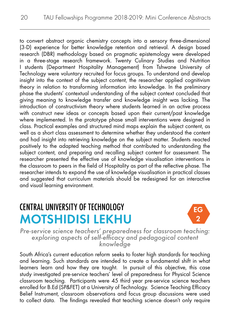to convert abstract organic chemistry concepts into a sensory three-dimensional (3-D) experience for better knowledge retention and retrieval. A design based research (DBR) methodology based on pragmatic epistemology were developed in a three-stage research framework. Twenty Culinary Studies and Nutrition I students (Department Hospitality Management) from Tshwane University of Technology were voluntary recruited for focus groups. To understand and develop insight into the context of the subject content, the researcher applied cognitivism theory in relation to transforming information into knowledge. In the preliminary phase the students' contextual understanding of the subject context concluded that giving meaning to knowledge transfer and knowledge insight was lacking. The introduction of constructivism theory where students learned in an active process with construct new ideas or concepts based upon their current/past knowledge where implemented. In the prototype phase small interventions were designed in class. Practical examples and structured mind maps explain the subject content, as well as a short class assessment to determine whether they understood the content and had insight into retrieving knowledge on the subject matter. Students reacted positively to the adapted teaching method that contributed to understanding the subject content, and preparing and recalling subject content for assessment. The researcher presented the effective use of knowledge visualisation interventions in the classroom to peers in the field of Hospitality as part of the reflective phase. The researcher intends to expand the use of knowledge visualisation in practical classes and suggested that curriculum materials should be redesigned for an interactive and visual learning environment.

## CENTRAL UNIVERSITY OF TECHNOLOGY MOTSHIDISI LEKHU



*Pre-service science teachers' preparedness for classroom teaching: exploring aspects of self-efficacy and pedagogical content knowledge*

South Africa's current education reform seeks to foster high standards for teaching and learning. Such standards are intended to create a fundamental shift in what learners learn and how they are taught. In pursuit of this objective, this case study investigated pre-service teachers' level of preparedness for Physical Science classroom teaching. Participants were 45 third year pre-service science teachers enrolled for B.Ed (SP&FET) at a University of Technology. Science Teaching Efficacy Belief Instrument, classroom observations and focus group discussions were used to collect data. The findings revealed that teaching science doesn't only require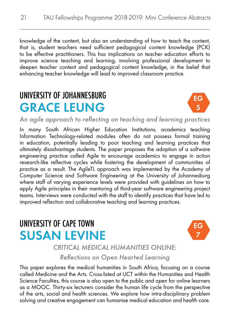knowledge of the content, but also an understanding of how to teach the content, that is, student teachers need sufficient pedagogical content knowledge (PCK) to be effective practitioners. This has implications on teacher education efforts to improve science teaching and learning, involving professional development to deepen teacher content and pedagogical content knowledge, in the belief that enhancing teacher knowledge will lead to improved classroom practice.

## UNIVERSITY OF JOHANNESBURG GRACE LEUNG



*An agile approach to reflecting on teaching and learning practices*

In many South African Higher Education Institutions, academics teaching Information Technology-related modules often do not possess formal training in education, potentially leading to poor teaching and learning practices that ultimately disadvantage students. The paper proposes the adoption of a software engineering practice called Agile to encourage academics to engage in action research-like reflective cycles while fostering the development of communities of practice as a result. The AgileTL approach was implemented by the Academy of Computer Science and Software Engineering at the University of Johannesburg where staff of varying experience levels were provided with guidelines on how to apply Agile principles in their mentoring of third-year software engineering project teams. Interviews were conducted with the staff to identify practices that have led to improved reflection and collaborative teaching and learning practices.

#### UNIVERSITY OF CAPE TOWN SUSAN LEVINE



*CRITICAL MEDICAL HUMANITIES ONLINE:* 

*Reflections on Open Hearted Learning*

This paper explores the medical humanities in South Africa, focusing on a course called Medicine and the Arts. Cross-listed at UCT within the Humanities and Health Science Faculties, this course is also open to the public and open for online learners as a MOOC. Thirty-six lecturers consider the human life cycle from the perspective of the arts, social and health sciences. We explore how intra-disciplinary problem solving and creative engagement can humanise medical education and health care.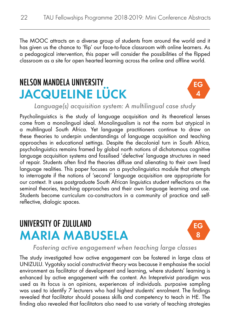The MOOC attracts an a diverse group of students from around the world and it has given us the chance to 'flip' our face-to-face classroom with online learners. As a pedagogical intervention, this paper will consider the possibilities of the flipped classroom as a site for open hearted learning across the online and offline world.

#### NELSON MANDELA UNIVERSITY JACQUELINE LÜCK



*Language(s) acquisition system: A multilingual case study* 

Psycholinguistics is the study of language acquisition and its theoretical lenses come from a monolingual ideal. Monolingualism is not the norm but atypical in a multilingual South Africa. Yet language practitioners continue to draw on these theories to underpin understandings of language acquisition and teaching approaches in educational settings. Despite the decolonial turn in South Africa, psycholinguistics remains framed by global north notions of dichotomous cognitive language acquisition systems and fossilised 'defective' language structures in need of repair. Students often find the theories diffuse and alienating to their own lived language realities. This paper focuses on a psycholinguistics module that attempts to interrogate if the notions of 'second' language acquisition are appropriate for our context. It uses postgraduate South African linguistics student reflections on the seminal theories, teaching approaches and their own language learning and use. Students become curriculum co-constructors in a community of practice and selfreflective, dialogic spaces.

#### UNIVERSITY OF ZULULAND MARIA MABUSELA



#### *Fostering active engagement when teaching large classes*

The study investigated how active engagement can be fostered in large class at UNIZULU. Vygotsky social constructivist theory was because it emphasise the social environment as facilitator of development and learning, where students' learning is enhanced by active engagement with the content. An Intepretivist paradigm was used as its focus is on opinions, experiences of individuals. purposive sampling was used to identify 7 lecturers who had highest students' enrolment. The findings revealed that facilitator should possess skills and competency to teach in HE. The finding also revealed that facilitators also need to use variety of teaching strategies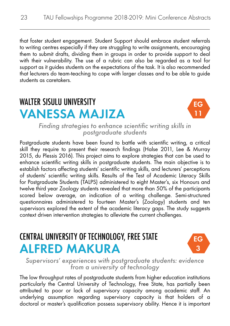that foster student engagement. Student Support should embrace student referrals to writing centres especially if they are struggling to write assignments, encouraging them to submit drafts, dividing them in groups in order to provide support to deal with their vulnerability. The use of a rubric can also be regarded as a tool for support as it guides students on the expectations of the task. It is also recommended that lecturers do team-teaching to cope with larger classes and to be able to guide students as caretakers.

#### WALTER SISULU UNIVERSITY VANESSA MAJIZA



*Finding strategies to enhance scientific writing skills in postgraduate students* 

Postgraduate students have been found to battle with scientific writing, a critical skill they require to present their research findings (Halse 2011, Lee & Murray 2015, du Plessis 2016). This project aims to explore strategies that can be used to enhance scientific writing skills in postgraduate students. The main objective is to establish factors affecting students' scientific writing skills, and lecturers' perceptions of students' scientific writing skills. Results of the Test of Academic Literacy Skills for Postgraduate Students (TALPS) administered to eight Master's, six Honours and twelve third year Zoology students revealed that more than 50% of the participants scored below average, an indication of a writing challenge. Semi-structured questionnaires administered to fourteen Master's (Zoology) students and ten supervisors explored the extent of the academic literacy gaps. The study suggests context driven intervention strategies to alleviate the current challenges.

#### CENTRAL UNIVERSITY OF TECHNOLOGY, FREE STATE ALFRED MAKURA



*Supervisors' experiences with postgraduate students: evidence from a university of technology*

The low throughput rates of postgraduate students from higher education institutions particularly the Central University of Technology, Free State, has partially been attributed to poor or lack of supervisory capacity among academic staff. An underlying assumption regarding supervisory capacity is that holders of a doctoral or master's qualification possess supervisory ability. Hence it is important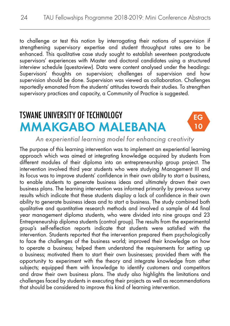to challenge or test this notion by interrogating their notions of supervision if strengthening supervisory expertise and student throughput rates are to be enhanced. This qualitative case study sought to establish seventeen postgraduate supervisors' experiences with Master and doctoral candidates using a structured interview schedule (questaview). Data were content analysed under the headings: Supervisors' thoughts on supervision; challenges of supervision and how supervision should be done. Supervision was viewed as collaboration. Challenges reportedly emanated from the students' attitudes towards their studies. To strengthen supervisory practices and capacity, a Community of Practice is suggested.

## TSWANE UNIVERSITY OF TECHNOLOGY MMAKGABO MALEBANA



#### *An experiential learning model for enhancing creativity*

The purpose of this learning intervention was to implement an experiential learning approach which was aimed at integrating knowledge acquired by students from different modules of their diploma into an entrepreneurship group project. The intervention involved third year students who were studying Management III and its focus was to improve students' confidence in their own ability to start a business, to enable students to generate business ideas and ultimately drawn their own business plans. The learning intervention was informed primarily by previous survey results which indicate that these students display a lack of confidence in their own ability to generate business ideas and to start a business. The study combined both qualitative and quantitative research methods and involved a sample of 44 final year management diploma students, who were divided into nine groups and 23 Entrepreneurship diploma students (control group). The results from the experimental group's self-reflection reports indicate that students were satisfied with the intervention. Students reported that the intervention prepared them psychologically to face the challenges of the business world; improved their knowledge on how to operate a business; helped them understand the requirements for setting up a business; motivated them to start their own businesses; provided them with the opportunity to experiment with the theory and integrate knowledge from other subjects; equipped them with knowledge to identify customers and competitors and draw their own business plans. The study also highlights the limitations and challenges faced by students in executing their projects as well as recommendations that should be considered to improve this kind of learning intervention.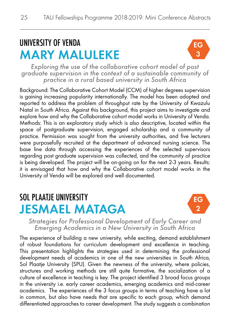## UNIVERSITY OF VENDA MARY MALULEKE



*Exploring the use of the collaborative cohort model of post graduate supervision in the context of a sustainable community of practice in a rural based university in South Africa*

Background: The Collaborative Cohort Model (CCM) of higher degrees supervision is gaining increasing popularity internationally. The model has been adopted and reported to address the problem of throughput rate by the University of Kwazulu Natal in South Africa. Against this background, this project aims to investigate and explore how and why the Collaborative cohort model works in University of Venda. Methods: This is an exploratory study which is also descriptive, located within the space of postgraduate supervision, engaged scholarship and a community of practice. Permission was sought from the university authorities, and five lecturers were purposefully recruited at the department of advanced nursing science. The base line data through accessing the experiences of the selected supervisors regarding post graduate supervision was collected, and the community of practice is being developed. The project will be on-going on for the next 2-3 years. Results: it is envisaged that how and why the Collaborative cohort model works in the University of Venda will be explored and well documented.

#### SOL PLAATIF UNIVERSITY JESMAEL MATAGA



*Strategies for Professional Development of Early Career and Emerging Academics in a New University in South Africa*

The experience of building a new university, while exciting, demand establishment of robust foundations for curriculum development and excellence in teaching. This presentation highlights the strategies used in determining the professional development needs of academics in one of the new universities in South Africa, Sol Plaatje University (SPU). Given the newness of the university, where policies, structures and working methods are still quite formative, the socialization of a culture of excellence in teaching is key. The project identified 3 broad focus groups in the university i.e. early career academics, emerging academics and mid-career academics. The experiences of the 3 focus groups in terms of teaching have a lot in common, but also have needs that are specific to each group, which demand differentiated approaches to career development. The study suggests a combination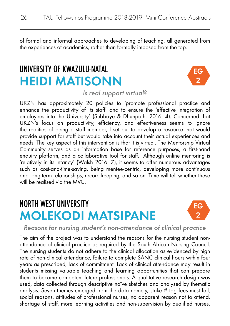of formal and informal approaches to developing of teaching, all generated from the experiences of academics, rather than formally imposed from the top.

#### UNIVERSITY OF KWAZULU-NATAL HEIDI MATISONN



*Is real support virtual?*

UKZN has approximately 20 policies to 'promote professional practice and enhance the productivity of its staff' and to ensure the 'effective integration of employees into the University' (Subbaye & Dhunpath, 2016: 4). Concerned that UKZN's focus on productivity, efficiency, and effectiveness seems to ignore the realities of being a staff member, I set out to develop a resource that would provide support for staff but would take into account their actual experiences and needs. The key aspect of this intervention is that it is virtual. The Mentorship Virtual Community serves as an information base for reference purposes, a first-hand enquiry platform, and a collaborative tool for staff. Although online mentoring is 'relatively in its infancy' (Walsh 2016: 7), it seems to offer numerous advantages such as cost-and-time-saving, being mentee-centric, developing more continuous and long-term relationships, record-keeping, and so on. Time will tell whether these will be realised via the MVC.

#### NORTH WEST UNIVERSITY MOLEKODI MATSIPANE



*Reasons for nursing student's non-attendance of clinical practice*

The aim of the project was to understand the reasons for the nursing student nonattendance of clinical practice as required by the South African Nursing Council. The nursing students do not adhere to the clinical allocation as evidenced by high rate of non-clinical attendance, failure to complete SANC clinical hours within four years as prescribed, lack of commitment. Lack of clinical attendance may result in students missing valuable teaching and learning opportunities that can prepare them to become competent future professionals. A qualitative research design was used, data collected through descriptive naïve sketches and analysed by thematic analysis. Seven themes emerged from the data namely, strike # tag fees must fall, social reasons, attitudes of professional nurses, no apparent reason not to attend, shortage of staff, more learning activities and non-supervision by qualified nurses.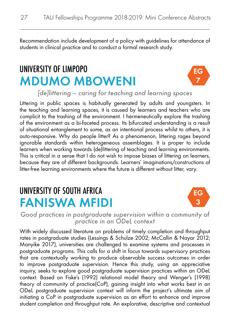Recommendation include development of a policy with guidelines for attendance of students in clinical practice and to conduct a formal research study.

## UNIVERSITY OF LIMPOPO MDUMO MBOWENI



*[de]littering – caring for teaching and learning spaces* 

Littering in public spaces is habitually generated by adults and youngsters. In the teaching and learning spaces, it is caused by learners and teachers who are complicit to the trashing of the environment. I hermeneutically explore the trashing of the environment as a bi-faceted process. Its bifurcated understanding is a result of situational entanglement to some, as an intentional process whilst to others, it is auto-responsive. Why do people litter? As a phenomenon, littering rages beyond ignorable standards within heterogeneous assemblages. It is proper to include learners when working towards (de)littering of teaching and learning environments. This is critical in a sense that I do not wish to impose biases of littering on learners, because they are of different backgrounds. Learners' imaginations/constructions of litter-free learning environments where the future is different without litter, vary.

#### UNIVERSITY OF SOUTH AFRICA FANISWA MFIDI



*Good practices in postgraduate supervision within a community of practice in an ODeL context*

With widely discussed literature on problems of timely completion and throughput rates in postgraduate studies (Lessings & Schulze 2002; McCallin & Nayar 2012; Manyike 2017), universities are challenged to examine systems and processes in postgraduate programs. This calls for a shift in focus towards supervisory practices that are contextually working to produce observable success outcomes in order to improve postgraduate supervision. Hence this study, using an appreciative inquiry, seeks to explore good postgraduate supervision practices within an ODeL context. Based on Fiske's (1992) relational model theory and Wenger's (1998) theory of community of practice(CoP), gaining insight into what works best in an ODeL postgraduate supervision context will inform the project's ultimate aim of initiating a CoP in postgraduate supervision as an effort to enhance and improve student completion and throughput rate. An explorative, descriptive and contextual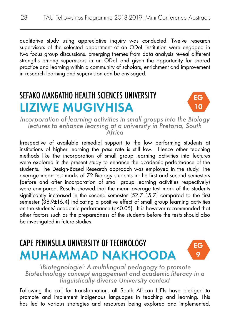qualitative study using appreciative inquiry was conducted. Twelve research supervisors of the selected department of an ODeL institution were engaged in two focus group discussions. Emerging themes from data analysis reveal different strengths among supervisors in an ODeL and given the opportunity for shared practice and learning within a community of scholars, enrichment and improvement in research learning and supervision can be envisaged.

### SEFAKO MAKGATHO HEALTH SCIENCES UNIVERSITY LIZIWE MUGIVHISA



*Incorporation of learning activities in small groups into the Biology lectures to enhance learning at a university in Pretoria, South Africa*

Irrespective of available remedial support to the low performing students at institutions of higher learning the pass rate is still low. Hence other teaching methods like the incorporation of small group learning activities into lectures were explored in the present study to enhance the academic performance of the students. The Design-Based Research approach was employed in the study. The average mean test marks of 72 Biology students in the first and second semesters (before and after incorporation of small group learning activities respectively) were compared. Results showed that the mean average test mark of the students significantly increased in the second semester (52.7±15.7) compared to the first semester (38.9±16.4) indicating a positive effect of small group learning activities on the students' academic performance (p<0.05). It is however recommended that other factors such as the preparedness of the students before the tests should also be investigated in future studies.

#### CAPE PENINSULA UNIVERSITY OF TECHNOLOGY MUHAMMAD NAKHOODA



*'iBiotegnologie': A multilingual pedagogy to promote Biotechnology concept engagement and academic literacy in a linguistically-diverse University context*

Following the call for transformation, all South African HEIs have pledged to promote and implement indigenous languages in teaching and learning. This has led to various strategies and resources being explored and implemented.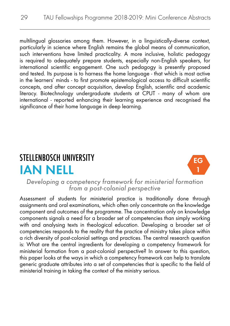multilingual glossaries among them. However, in a linguistically-diverse context, particularly in science where English remains the global means of communication, such interventions have limited practicality. A more inclusive, holistic pedagogy is required to adequately prepare students, especially non-English speakers, for international scientific engagement. One such pedagogy is presently proposed and tested. Its purpose is to harness the home language - that which is most active in the learners' minds - to first promote epistemological access to difficult scientific concepts, and after concept acquisition, develop English, scientific and academic literacy. Biotechnology undergraduate students at CPUT - many of whom are international - reported enhancing their learning experience and recognised the significance of their home language in deep learning.

#### STELLENBOSCH UNIVERSITY IAN NELL



*Developing a competency framework for ministerial formation from a post-colonial perspective*

Assessment of students for ministerial practice is traditionally done through assignments and oral examinations, which often only concentrate on the knowledge component and outcomes of the programme. The concentration only on knowledge components signals a need for a broader set of competencies than simply working with and analysing texts in theological education. Developing a broader set of competencies responds to the reality that the practice of ministry takes place within a rich diversity of post-colonial settings and practices. The central research question is: What are the central ingredients for developing a competency framework for ministerial formation from a post-colonial perspective? In answer to this question, this paper looks at the ways in which a competency framework can help to translate generic graduate attributes into a set of competencies that is specific to the field of ministerial training in taking the context of the ministry serious.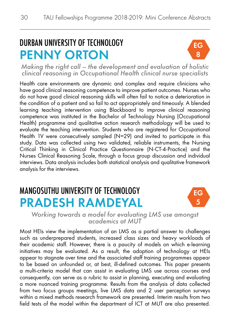## DURBAN UNIVERSITY OF TECHNOLOGY PENNY ORTON



*Making the right call – the development and evaluation of holistic clinical reasoning in Occupational Health clinical nurse specialists*

Health care environments are dynamic and complex and require clinicians who have good clinical reasoning competence to improve patient outcomes. Nurses who do not have good clinical reasoning skills will often fail to notice a deterioration in the condition of a patient and so fail to act appropriately and timeously. A blended learning teaching intervention using Blackboard to improve clinical reasoning competence was instituted in the Bachelor of Technology Nursing (Occupational Health) programme and qualitative action research methodology will be used to evaluate the teaching intervention. Students who are registered for Occupational Health 1V were consecutively sampled (N=29) and invited to participate in this study. Data was collected using two validated, reliable instruments, the Nursing Critical Thinking in Clinical Practice Questionnaire (N-CT-4-Practice) and the Nurses Clinical Reasoning Scale, through a focus group discussion and individual interviews. Data analysis includes both statistical analysis and qualitative framework analysis for the interviews.

#### MANGOSUTHU UNIVERSITY OF TECHNOLOGY PRADESH RAMDEYAL



*Working towards a model for evaluating LMS use amongst academics at MUT*

Most HEIs view the implementation of an LMS as a partial answer to challenges such as underprepared students, increased class sizes and heavy workloads of their academic staff. However, there is a paucity of models on which e-learning initiatives may be evaluated. As a result, the adoption of technology at HEIs appear to stagnate over time and the associated staff training programmes appear to be based on unfounded or, at best, ill-defined outcomes. This paper presents a multi-criteria model that can assist in evaluating LMS use across courses and consequently, can serve as a rubric to assist in planning, executing and evaluating a more nuanced training programme. Results from the analysis of data collected from two focus groups meetings, live LMS data and 2 user perception surveys within a mixed methods research framework are presented. Interim results from two field tests of the model within the department of ICT at MUT are also presented.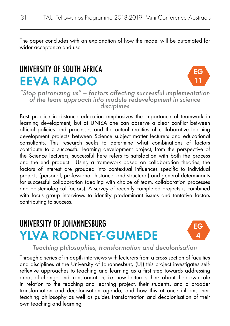The paper concludes with an explanation of how the model will be automated for wider acceptance and use.

#### UNIVERSITY OF SOUTH AFRICA EEVA RAPOO



*"Stop patronizing us" – factors affecting successful implementation of the team approach into module redevelopment in science disciplines*

Best practice in distance education emphasizes the importance of teamwork in learning development, but at UNISA one can observe a clear conflict between official policies and processes and the actual realities of collaborative learning development projects between Science subject matter lecturers and educational consultants. This research seeks to determine what combinations of factors contribute to a successful learning development project, from the perspective of the Science lecturers; successful here refers to satisfaction with both the process and the end product. Using a framework based on collaboration theories, the factors of interest are grouped into contextual influences specific to individual projects (personal, professional, historical and structural) and general determinants for successful collaboration (dealing with choice of team, collaboration processes and epistemological factors). A survey of recently completed projects is combined with focus group interviews to identify predominant issues and tentative factors contributing to success.

#### UNIVERSITY OF JOHANNESBURG YLVA RODNEY-GUMEDE



#### *Teaching philosophies, transformation and decolonisation*

Through a series of in-depth interviews with lecturers from a cross section of faculties and disciplines at the University of Johannesburg (UJ) this project investigates selfreflexive approaches to teaching and learning as a first step towards addressing areas of change and transformation, i.e. how lecturers think about their own role in relation to the teaching and learning project, their students, and a broader transformation and decolonisation agenda, and how this at once informs their teaching philosophy as well as guides transformation and decolonisation of their own teaching and learning.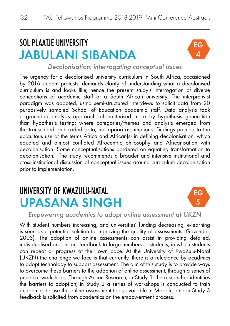## SOL PLAATJE UNIVERSITY JABULANI SIBANDA



*Decolonisation: interrogating conceptual issues*

The urgency for a decolonised university curriculum in South Africa, occasioned by 2016 student protests, demands clarity of understanding what a decolonised curriculum is and looks like; hence the present study's interrogation of diverse conceptions of academic staff at a South African university. The interpretivist paradigm was adopted, using semi-structured interviews to solicit data from 20 purposively sampled School of Education academic staff. Data analysis took a grounded analysis approach, characterised more by hypothesis generation than hypothesis testing; where categories/themes and analysis emerged from the transcribed and coded data, not apriori assumptions. Findings pointed to the ubiquitous use of the terms Africa and African(s) in defining decolonisation, which equated and almost conflated Afrocentric philosophy and Africanisation with decolonisation. Some conceptualisations bordered on equating transformation to decolonisation. The study recommends a broader and intensive institutional and cross-institutional discussion of conceptual issues around curriculum decolonisation prior to implementation.

#### UNIVERSITY OF KWAZULU-NATAL UPASANA SINGH



*Empowering academics to adopt online assessment at UKZN*

With student numbers increasing, and universities' funding decreasing, e-learning is seen as a potential solution to improving the quality of assessments (Govender, 2003). The adoption of online assessments can assist in providing detailed, individualised and instant feedback to large numbers of students, in which students can repeat or progress at their own pace. At the University of KwaZulu-Natal (UKZN) the challenge we face is that currently, there is a reluctance by acadmics to adopt technology to support assessment. The aim of this study is to provide ways to overcome these barriers to the adoption of online assessment, through a series of practical workshops. Through Action Research, in Study 1, the researcher identifies the barriers to adoption; in Study 2 a series of workshops is conducted to train academics to use the online assessment tools available in Moodle; and in Study 3 feedback is solicited from academics on the empowerment process.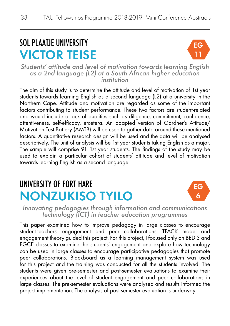## SOL PLAATJE UNIVERSITY VICTOR TEISE



*Students' attitude and level of motivation towards learning English as a 2nd language (L2) at a South African higher education institution*

The aim of this study is to determine the attitude and level of motivation of 1st year students towards learning English as a second language (L2) at a university in the Northern Cape. Attitude and motivation are regarded as some of the important factors contributing to student performance. These two factors are student-related and would include a lack of qualities such as diligence, commitment, confidence, attentiveness, self-efficacy, etcetera. An adapted version of Gardner's Attitude/ Motivation Test Battery (AMTB) will be used to gather data around these mentioned factors. A quantitative research design will be used and the data will be analysed descriptively. The unit of analysis will be 1st year students taking English as a major. The sample will comprise 91 1st year students. The findings of the study may be used to explain a particular cohort of students' attitude and level of motivation towards learning English as a second language.

#### UNIVERSITY OF FORT HARE NONZUKISO TYILO



*Innovating pedagogies through information and communications technology (ICT) in teacher education programmes*

This paper examined how to improve pedagogy in large classes to encourage student-teachers' engagement and peer collaborations. TPACK model and engagement theory guided this project. For this project, I focused only on BED 3 and PGCE classes to examine the students' engagement and explore how technology can be used in large classes to encourage participative pedagogies that promote peer collaborations. Blackboard as a learning management system was used for this project and the training was conducted for all the students involved. The students were given pre-semester and post-semester evaluations to examine their experiences about the level of student engagement and peer collaborations in large classes. The pre-semester evaluations were analysed and results informed the project implementation. The analysis of post-semester evaluation is underway.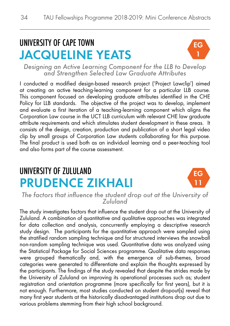## UNIVERSITY OF CAPE TOWN JACQUELINE YEATS



*Designing an Active Learning Component for the LLB to Develop and Strengthen Selected Law Graduate Attributes*

I conducted a modified design-based research project ('Project Lawclip') aimed at creating an active teaching-learning component for a particular LLB course. This component focused on developing graduate attributes identified in the CHE Policy for LLB standards. The objective of the project was to develop, implement and evaluate a first iteration of a teaching-learning component which aligns the Corporation Law course in the UCT LLB curriculum with relevant CHE law graduate attribute requirements and which stimulates student development in these areas. It consists of the design, creation, production and publication of a short legal video clip by small groups of Corporation Law students collaborating for this purpose. The final product is used both as an individual learning and a peer-teaching tool and also forms part of the course assessment.

## UNIVERSITY OF ZULULAND PRUDENCE ZIKHALI



*The factors that influence the student drop out at the University of Zululand*

The study investigates factors that influence the student drop out at the University of Zululand. A combination of quantitative and qualitative approaches was integrated for data collection and analysis, concurrently employing a descriptive research study design. The participants for the quantitative approach were sampled using the stratified random sampling technique and for structured interviews the snowball non-random sampling technique was used. Quantitative data was analyzed using the Statistical Package for Social Sciences programme. Qualitative data responses were grouped thematically and, with the emergence of sub-themes, broad categories were generated to differentiate and explain the thoughts expressed by the participants. The findings of the study revealed that despite the strides made by the University of Zululand on improving its operational processes such as; student registration and orientation programme (more specifically for first years), but it is not enough. Furthermore, most studies conducted on student dropout(s) reveal that many first year students at the historically disadvantaged institutions drop out due to various problems stemming from their high school background.